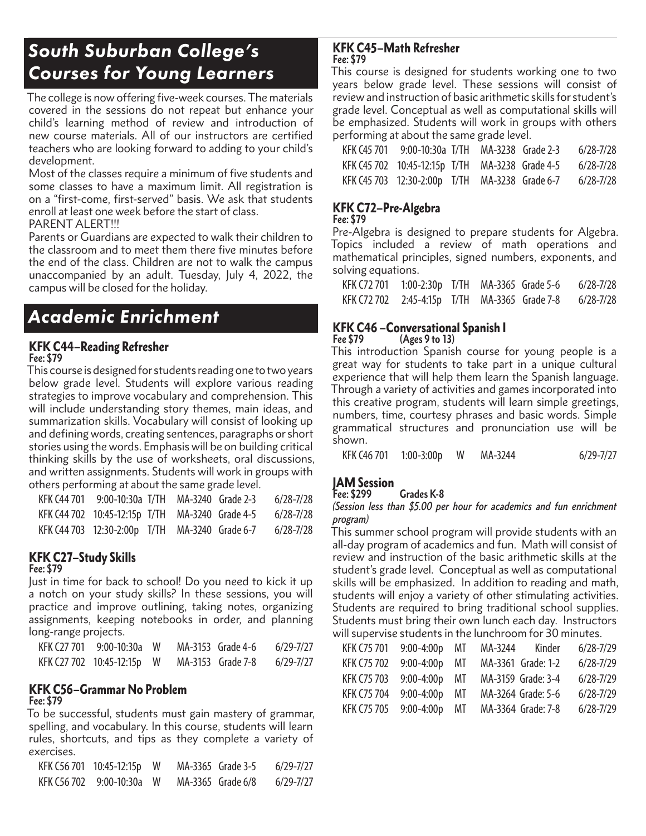## *South Suburban College's Courses for Young Learners*

The college is now offering five-week courses. The materials covered in the sessions do not repeat but enhance your child's learning method of review and introduction of new course materials. All of our instructors are certified teachers who are looking forward to adding to your child's development.

Most of the classes require a minimum of five students and some classes to have a maximum limit. All registration is on a "first-come, first-served" basis. We ask that students enroll at least one week before the start of class.

PARENT ALERT!!!

Parents or Guardians are expected to walk their children to the classroom and to meet them there five minutes before the end of the class. Children are not to walk the campus unaccompanied by an adult. Tuesday, July 4, 2022, the campus will be closed for the holiday.

## *Academic Enrichment*

#### KFK C44–Reading Refresher **Fee: \$79**

This course is designed for students reading one to two years below grade level. Students will explore various reading strategies to improve vocabulary and comprehension. This will include understanding story themes, main ideas, and summarization skills. Vocabulary will consist of looking up and defining words, creating sentences, paragraphs or short stories using the words. Emphasis will be on building critical thinking skills by the use of worksheets, oral discussions, and written assignments. Students will work in groups with others performing at about the same grade level.

| KFK C44 701 9:00-10:30a T/TH MA-3240 Grade 2-3  |  | 6/28-7/28 |
|-------------------------------------------------|--|-----------|
| KFK C44 702 10:45-12:15p T/TH MA-3240 Grade 4-5 |  | 6/28-7/28 |
| KFK C44 703 12:30-2:00p T/TH MA-3240 Grade 6-7  |  | 6/28-7/28 |

#### KFK C27–Study Skills **Fee: \$79**

Just in time for back to school! Do you need to kick it up a notch on your study skills? In these sessions, you will practice and improve outlining, taking notes, organizing assignments, keeping notebooks in order, and planning long-range projects.

| KFK C27 701 9:00-10:30a W  |  | MA-3153 Grade 4-6 | 6/29-7/27 |
|----------------------------|--|-------------------|-----------|
| KFK C27 702 10:45-12:15p W |  | MA-3153 Grade 7-8 | 6/29-7/27 |

### KFK C56–Grammar No Problem **Fee: \$79**

To be successful, students must gain mastery of grammar, spelling, and vocabulary. In this course, students will learn rules, shortcuts, and tips as they complete a variety of exercises.

| KFK C56 701 10:45-12:15p W |  | MA-3365 Grade 3-5 | 6/29-7/27 |
|----------------------------|--|-------------------|-----------|
| KFK C56 702 9:00-10:30a W  |  | MA-3365 Grade 6/8 | 6/29-7/27 |

#### KFK C45–Math Refresher **Fee: \$79**

This course is designed for students working one to two years below grade level. These sessions will consist of review and instruction of basic arithmetic skills for student's grade level. Conceptual as well as computational skills will be emphasized. Students will work in groups with others performing at about the same grade level.

| KFK C45 701 | 9:00-10:30a T/TH                               |                   | MA-3238 Grade 2-3 | 6/28-7/28     |
|-------------|------------------------------------------------|-------------------|-------------------|---------------|
|             | KFK C45 702 10:45-12:15p T/TH                  | MA-3238 Grade 4-5 |                   | 6/28-7/28     |
|             | KFK C45 703 12:30-2:00p T/TH MA-3238 Grade 6-7 |                   |                   | $6/28 - 7/28$ |

### KFK C72–Pre-Algebra

**Fee: \$79**

Pre-Algebra is designed to prepare students for Algebra. Topics included a review of math operations and mathematical principles, signed numbers, exponents, and solving equations.

| KFK C72 701 | 1:00-2:30p T/TH MA-3365 Grade 5-6 |  | 6/28-7/28     |
|-------------|-----------------------------------|--|---------------|
| KFK C72 702 | 2:45-4:15p T/TH MA-3365 Grade 7-8 |  | $6/28 - 7/28$ |

# KFK C46 – Conversational Spanish I<br>Fee \$79 (Ages 9 to 13)

**Fee \$79 (Ages 9 to 13)**

This introduction Spanish course for young people is a great way for students to take part in a unique cultural experience that will help them learn the Spanish language. Through a variety of activities and games incorporated into this creative program, students will learn simple greetings, numbers, time, courtesy phrases and basic words. Simple grammatical structures and pronunciation use will be shown.

| <b>KFK C46 701</b> | $1:00 - 3:00p$ | W | MA-3244 | $6/29 - 7/27$ |
|--------------------|----------------|---|---------|---------------|
|--------------------|----------------|---|---------|---------------|

### JAM Session

**Fee: \$299 Grades K-8**

#### (Session less than \$5.00 per hour for academics and fun enrichment program)

This summer school program will provide students with an all-day program of academics and fun. Math will consist of review and instruction of the basic arithmetic skills at the student's grade level. Conceptual as well as computational skills will be emphasized. In addition to reading and math, students will enjoy a variety of other stimulating activities. Students are required to bring traditional school supplies. Students must bring their own lunch each day. Instructors will supervise students in the lunchroom for 30 minutes.

| <b>KFK C75 701</b> | 9:00-4:00p MT MA-3244 Kinder |  |                    | $6/28 - 7/29$ |
|--------------------|------------------------------|--|--------------------|---------------|
| <b>KFK C75 702</b> | $9:00-4:00p$ MT              |  | MA-3361 Grade: 1-2 | $6/28 - 7/29$ |
| <b>KFK C75 703</b> | 9:00-4:00p MT                |  | MA-3159 Grade: 3-4 | $6/28 - 7/29$ |
| <b>KFK C75 704</b> | 9:00-4:00p MT                |  | MA-3264 Grade: 5-6 | $6/28 - 7/29$ |
| <b>KFK C75 705</b> | $9:00-4:00p$ MT              |  | MA-3364 Grade: 7-8 | $6/28 - 7/29$ |
|                    |                              |  |                    |               |